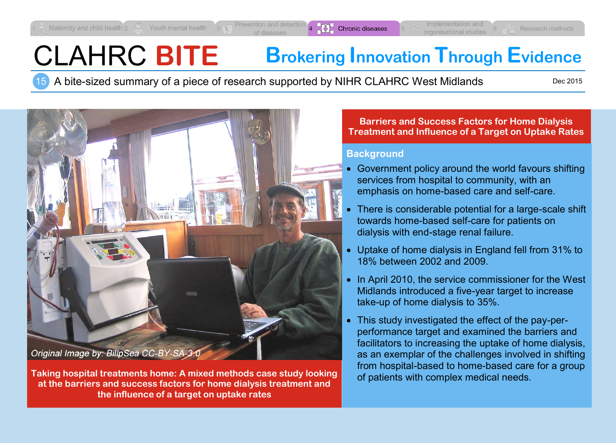# CLAHRC **BITE Brokering Innovation Through Evidence**

15 A bite-sized summary of a piece of research supported by NIHR CLAHRC West Midlands

Dec 2015



**Taking hospital treatments home: A mixed methods case study looking at the barriers and success factors for home dialysis treatment and the influence of a target on uptake rates**

#### **Barriers and Success Factors for Home Dialysis Treatment and Influence of a Target on Uptake Rates**

#### **Background**

- Government policy around the world favours shifting services from hospital to community, with an emphasis on home-based care and self-care.
- There is considerable potential for a large-scale shift towards home-based self-care for patients on dialysis with end-stage renal failure.
- Uptake of home dialysis in England fell from 31% to 18% between 2002 and 2009.
- In April 2010, the service commissioner for the West Midlands introduced a five-year target to increase take-up of home dialysis to 35%.
- This study investigated the effect of the pay-perperformance target and examined the barriers and facilitators to increasing the uptake of home dialysis, as an exemplar of the challenges involved in shifting from hospital-based to home-based care for a group of patients with complex medical needs.